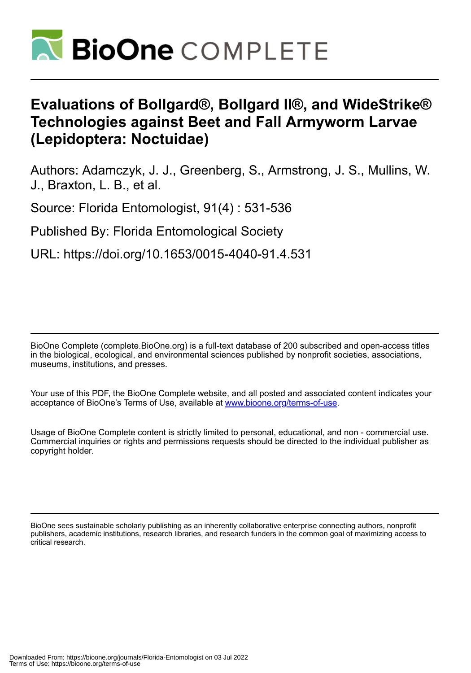

# **Evaluations of Bollgard®, Bollgard II®, and WideStrike® Technologies against Beet and Fall Armyworm Larvae (Lepidoptera: Noctuidae)**

Authors: Adamczyk, J. J., Greenberg, S., Armstrong, J. S., Mullins, W. J., Braxton, L. B., et al.

Source: Florida Entomologist, 91(4) : 531-536

Published By: Florida Entomological Society

URL: https://doi.org/10.1653/0015-4040-91.4.531

BioOne Complete (complete.BioOne.org) is a full-text database of 200 subscribed and open-access titles in the biological, ecological, and environmental sciences published by nonprofit societies, associations, museums, institutions, and presses.

Your use of this PDF, the BioOne Complete website, and all posted and associated content indicates your acceptance of BioOne's Terms of Use, available at www.bioone.org/terms-of-use.

Usage of BioOne Complete content is strictly limited to personal, educational, and non - commercial use. Commercial inquiries or rights and permissions requests should be directed to the individual publisher as copyright holder.

BioOne sees sustainable scholarly publishing as an inherently collaborative enterprise connecting authors, nonprofit publishers, academic institutions, research libraries, and research funders in the common goal of maximizing access to critical research.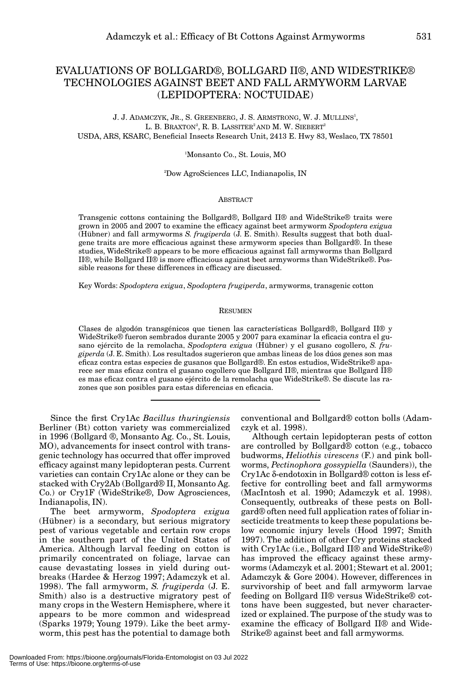# EVALUATIONS OF BOLLGARD®, BOLLGARD II®, AND WIDESTRIKE® TECHNOLOGIES AGAINST BEET AND FALL ARMYWORM LARVAE (LEPIDOPTERA: NOCTUIDAE)

J. J. ADAMCZYK, JR., S. GREENBERG, J. S. ARMSTRONG, W. J. MULLINS<sup>1</sup>, L. B. BRAXTON $^2$ , R. B. LASSITER $^2$ AND M. W. SIEBERT $^2$ USDA, ARS, KSARC, Beneficial Insects Research Unit, 2413 E. Hwy 83, Weslaco, TX 78501

1 Monsanto Co., St. Louis, MO

2 Dow AgroSciences LLC, Indianapolis, IN

#### **ABSTRACT**

Transgenic cottons containing the Bollgard®, Bollgard II® and WideStrike® traits were grown in 2005 and 2007 to examine the efficacy against beet armyworm *Spodoptera exigua* (Hübner) and fall armyworms *S. frugiperda* (J. E. Smith). Results suggest that both dualgene traits are more efficacious against these armyworm species than Bollgard®. In these studies, WideStrike® appears to be more efficacious against fall armyworms than Bollgard II®, while Bollgard II® is more efficacious against beet armyworms than WideStrike®. Possible reasons for these differences in efficacy are discussed.

Key Words: *Spodoptera exigua*, *Spodoptera frugiperda*, armyworms, transgenic cotton

#### RESUMEN

Clases de algodón transgénicos que tienen las características Bollgard®, Bollgard II® y WideStrike® fueron sembrados durante 2005 y 2007 para examinar la eficacia contra el gusano ejército de la remolacha, *Spodoptera exigua* (Hübner) y el gusano cogollero, *S. frugiperda* (J. E. Smith). Los resultados sugerieron que ambas lineas de los dúos genes son mas eficaz contra estas especies de gusanos que Bollgard®. En estos estudios, WideStrike® aparece ser mas eficaz contra el gusano cogollero que Bollgard II®, mientras que Bollgard II® es mas eficaz contra el gusano ejército de la remolacha que WideStrike®. Se discute las razones que son posibles para estas diferencias en eficacia.

Since the first Cry1Ac *Bacillus thuringiensis* Berliner (Bt) cotton variety was commercialized in 1996 (Bollgard ®, Monsanto Ag. Co., St. Louis, MO), advancements for insect control with transgenic technology has occurred that offer improved efficacy against many lepidopteran pests. Current varieties can contain Cry1Ac alone or they can be stacked with Cry2Ab (Bollgard® II, Monsanto Ag. Co.) or Cry1F (WideStrike®, Dow Agrosciences, Indianapolis, IN).

The beet armyworm, *Spodoptera exigua* (Hübner) is a secondary, but serious migratory pest of various vegetable and certain row crops in the southern part of the United States of America. Although larval feeding on cotton is primarily concentrated on foliage, larvae can cause devastating losses in yield during outbreaks (Hardee & Herzog 1997; Adamczyk et al. 1998). The fall armyworm, *S. frugiperda* (J. E. Smith) also is a destructive migratory pest of many crops in the Western Hemisphere, where it appears to be more common and widespread (Sparks 1979; Young 1979). Like the beet armyworm, this pest has the potential to damage both

conventional and Bollgard® cotton bolls (Adamczyk et al. 1998).

Although certain lepidopteran pests of cotton are controlled by Bollgard® cotton (e.g., tobacco budworms, *Heliothis virescens* (F.) and pink bollworms, *Pectinophora gossypiella* (Saunders)), the Cry1Ac δ-endotoxin in Bollgard® cotton is less effective for controlling beet and fall armyworms (MacIntosh et al. 1990; Adamczyk et al. 1998). Consequently, outbreaks of these pests on Bollgard® often need full application rates of foliar insecticide treatments to keep these populations below economic injury levels (Hood 1997; Smith 1997). The addition of other Cry proteins stacked with Cry1Ac (i.e., Bollgard II® and WideStrike®) has improved the efficacy against these armyworms (Adamczyk et al. 2001; Stewart et al. 2001; Adamczyk & Gore 2004). However, differences in survivorship of beet and fall armyworm larvae feeding on Bollgard II® versus WideStrike® cottons have been suggested, but never characterized or explained. The purpose of the study was to examine the efficacy of Bollgard II® and Wide-Strike® against beet and fall armyworms.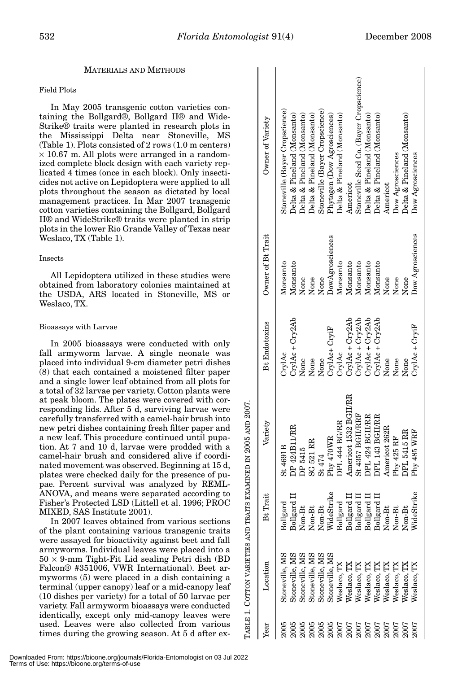# MATERIALS AND METHODS

# Field Plots

In May 2005 transgenic cotton varieties containing the Bollgard®, Bollgard II® and Wide-Strike® traits were planted in research plots in the Mississippi Delta near Stoneville, MS (Table 1). Plots consisted of 2 rows (1.0 m centers)  $\times$  10.67 m. All plots were arranged in a randomized complete block design with each variety replicated 4 times (once in each block). Only insecticides not active on Lepidoptera were applied to all plots throughout the season as dictated by local management practices. In Mar 2007 transgenic cotton varieties containing the Bollgard, Bollgard II® and WideStrike® traits were planted in strip plots in the lower Rio Grande Valley of Texas near Weslaco, TX (Table 1).

#### Insects

All Lepidoptera utilized in these studies were obtained from laboratory colonies maintained at the USDA, ARS located in Stoneville, MS or Weslaco, TX.

# Bioassays with Larvae

In 2005 bioassays were conducted with only fall armyworm larvae. A single neonate was placed into individual 9-cm diameter petri dishes (8) that each contained a moistened filter paper and a single lower leaf obtained from all plots for a total of 32 larvae per variety. Cotton plants were at peak bloom. The plates were covered with corresponding lids. After 5 d, surviving larvae were carefully transferred with a camel-hair brush into new petri dishes containing fresh filter paper and a new leaf. This procedure continued until pupation. At 7 and 10 d, larvae were prodded with a camel-hair brush and considered alive if coordinated movement was observed. Beginning at 15 d, plates were checked daily for the presence of pupae. Percent survival was analyzed by REML-ANOVA, and means were separated according to Fisher's Protected LSD (Littell et al. 1996; PROC MIXED, SAS Institute 2001).

In 2007 leaves obtained from various sections of the plant containing various transgenic traits were assayed for bioactivity against beet and fall armyworms. Individual leaves were placed into a  $50 \times 9$ -mm Tight-Fit Lid sealing Petri dish (BD Falcon® #351006, VWR International). Beet armyworms (5) were placed in a dish containing a terminal (upper canopy) leaf or a mid-canopy leaf (10 dishes per variety) for a total of 50 larvae per variety. Fall armyworm bioassays were conducted identically, except only mid-canopy leaves were used. Leaves were also collected from various are passaged for bioactivity against beet over a with contract with a camel-hair brush into new petri dishes containing fresh filter paper and a new leaf. This procedure continued until pupation. At 7 and 10 d, larvae were

| Year | Location       | Bt Trait           | Variety               | <b>Bt Endotoxins</b> | Owner of Bt Trait | Owner of Variety                        |
|------|----------------|--------------------|-----------------------|----------------------|-------------------|-----------------------------------------|
|      | Stoneville, MS | <b>Bollgard</b>    | St 4691B              | CrylAc               | Monsanto          | Stoneville (Bayer Cropscience)          |
|      | Stoneville, MS | 3ollgard II        | DP 424B11/RR          | CrylAc + Cry2Ab      | Monsanto          | Delta & Pineland (Monsanto)             |
| 2005 | Stoneville, MS | $\mathsf{Van-Bt}$  | DP 5415               | None                 | None              | Delta & Pineland (Monsanto)             |
| 2005 | Stoneville, MS | Von-Bt             | <b>SG 521 RR</b>      | None                 | None              | Delta & Pineland (Monsanto)             |
| 2005 | Stoneville, MS | $\mathsf{V}$ on-Bt | St 474                | None                 | None              | Stoneville (Bayer Cropscience)          |
| 2005 | Stoneville, MS | VideStrike         | Phy 470WR             | CrylAc+ CryiF        | DowAgrosciences   | Phytogen (Dow Agrosciences)             |
| 2007 | Veslaco, TX    | Bollgard           | DPL 444 BG/RR         | CrylAc               | Monsanto          | Delta & Pineland (Monsanto)             |
| 2007 | Weslaco, TX    | Bollgard I         | Americot 1532 BGII/RR | CrylAc + Cry2Ab      | Monsanto          | Americot                                |
| 2007 | Weslaco, TX    | Bollgard II        | St 4357 BGII/RRF      | CrylAc + Cry2Ab      | Monsanto          | Stoneville Seed Co. (Bayer Cropscience) |
| 2007 | Weslaco, TX    | Bollgard II        | DPL 424 BGII/RR       | CrylAc + Cry2Ab      | Monsanto          | Delta & Pineland (Monsanto)             |
| 2007 | Weslaco, TX    | 3ollgard I         | DPL 143 BGII/RR       | CrylAc + Cry2Ab      | Monsanto          | Delta & Pineland (Monsanto)             |
| 2007 | Weslaco, TX    | $\mathbf{N}$ on-Bt | Americot 262R         | None                 | None              | Americot                                |
| 2007 | $N$ eslaco, TX | Non-Bt             | Phy 425 RF            | None                 | None              | Dow Agrosciences                        |
| 2007 | $N$ eslaco, TX | $\sqrt{an-Bt}$     | DPL 5415 RR           | None                 | None              | Delta & Pineland (Monsanto)             |
| 2007 | $N$ eslaco, TX | VideStrike         | Phy 485 WRF           | $CryLc + CryLF$      | Dow Agrosciences  | Dow Agrosciences                        |
|      |                |                    |                       |                      |                   |                                         |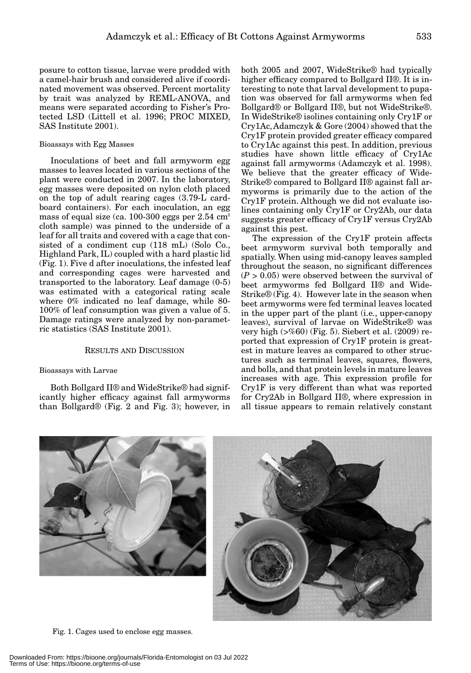posure to cotton tissue, larvae were prodded with a camel-hair brush and considered alive if coordinated movement was observed. Percent mortality by trait was analyzed by REML-ANOVA, and means were separated according to Fisher's Protected LSD (Littell et al. 1996; PROC MIXED, SAS Institute 2001).

#### Bioassays with Egg Masses

Inoculations of beet and fall armyworm egg masses to leaves located in various sections of the plant were conducted in 2007. In the laboratory, egg masses were deposited on nylon cloth placed on the top of adult rearing cages (3.79-L cardboard containers). For each inoculation, an egg mass of equal size (ca.  $100-300$  eggs per  $2.54 \text{ cm}^2$ ) cloth sample) was pinned to the underside of a leaf for all traits and covered with a cage that consisted of a condiment cup (118 mL) (Solo Co., Highland Park, IL) coupled with a hard plastic lid (Fig. 1). Five d after inoculations, the infested leaf and corresponding cages were harvested and transported to the laboratory. Leaf damage (0-5) was estimated with a categorical rating scale where 0% indicated no leaf damage, while 80- 100% of leaf consumption was given a value of 5. Damage ratings were analyzed by non-parametric statistics (SAS Institute 2001).

# RESULTS AND DISCUSSION

### Bioassays with Larvae

Both Bollgard II® and WideStrike® had significantly higher efficacy against fall armyworms than Bollgard® (Fig. 2 and Fig. 3); however, in both 2005 and 2007, WideStrike® had typically higher efficacy compared to Bollgard II®. It is interesting to note that larval development to pupation was observed for fall armyworms when fed Bollgard® or Bollgard II®, but not WideStrike®. In WideStrike® isolines containing only Cry1F or Cry1Ac, Adamczyk & Gore (2004) showed that the Cry1F protein provided greater efficacy compared to Cry1Ac against this pest. In addition, previous studies have shown little efficacy of Cry1Ac against fall armyworms (Adamczyk et al. 1998). We believe that the greater efficacy of Wide-Strike® compared to Bollgard II® against fall armyworms is primarily due to the action of the Cry1F protein. Although we did not evaluate isolines containing only Cry1F or Cry2Ab, our data suggests greater efficacy of Cry1F versus Cry2Ab against this pest.

The expression of the Cry1F protein affects beet armyworm survival both temporally and spatially. When using mid-canopy leaves sampled throughout the season, no significant differences  $(P > 0.05)$  were observed between the survival of beet armyworms fed Bollgard II® and Wide-Strike® (Fig. 4). However late in the season when beet armyworms were fed terminal leaves located in the upper part of the plant (i.e., upper-canopy leaves), survival of larvae on WideStrike® was very high (>%60) (Fig. 5). Siebert et al. (2009) reported that expression of Cry1F protein is greatest in mature leaves as compared to other structures such as terminal leaves, squares, flowers, and bolls, and that protein levels in mature leaves increases with age. This expression profile for Cry1F is very different than what was reported for Cry2Ab in Bollgard II®, where expression in all tissue appears to remain relatively constant





Fig. 1. Cages used to enclose egg masses.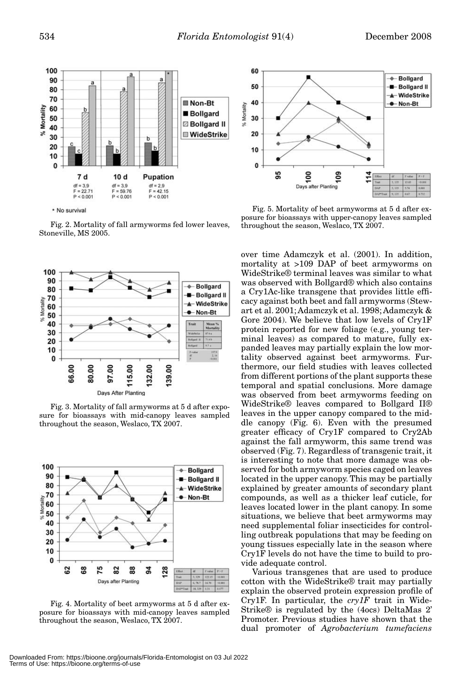

\* No survival

Fig. 2. Mortality of fall armyworms fed lower leaves, Stoneville, MS 2005.



Fig. 3. Mortality of fall armyworms at 5 d after exposure for bioassays with mid-canopy leaves sampled throughout the season, Weslaco, TX 2007.



Fig. 4. Mortality of beet armyworms at 5 d after exposure for bioassays with mid-canopy leaves sampled throughout the season, Weslaco, TX 2007.



Fig. 5. Mortality of beet armyworms at 5 d after exposure for bioassays with upper-canopy leaves sampled throughout the season, Weslaco, TX 2007.

over time Adamczyk et al. (2001). In addition, mortality at >109 DAP of beet armyworms on WideStrike® terminal leaves was similar to what was observed with Bollgard® which also contains a Cry1Ac-like transgene that provides little efficacy against both beet and fall armyworms (Stewart et al. 2001; Adamczyk et al. 1998; Adamczyk & Gore 2004). We believe that low levels of Cry1F protein reported for new foliage (e.g., young terminal leaves) as compared to mature, fully expanded leaves may partially explain the low mortality observed against beet armyworms. Furthermore, our field studies with leaves collected from different portions of the plant supports these temporal and spatial conclusions. More damage was observed from beet armyworms feeding on WideStrike® leaves compared to Bollgard II® leaves in the upper canopy compared to the middle canopy (Fig. 6). Even with the presumed greater efficacy of Cry1F compared to Cry2Ab against the fall armyworm, this same trend was observed (Fig. 7). Regardless of transgenic trait, it is interesting to note that more damage was observed for both armyworm species caged on leaves located in the upper canopy. This may be partially explained by greater amounts of secondary plant compounds, as well as a thicker leaf cuticle, for leaves located lower in the plant canopy. In some situations, we believe that beet armyworms may need supplemental foliar insecticides for controlling outbreak populations that may be feeding on young tissues especially late in the season where Cry1F levels do not have the time to build to provide adequate control.

Various transgenes that are used to produce cotton with the WideStrike® trait may partially explain the observed protein expression profile of Cry1F. In particular, the *cry1F* trait in Wide-Strike® is regulated by the (4ocs) DeltaMas 2' Promoter. Previous studies have shown that the dual promoter of *Agrobacterium tumefaciens*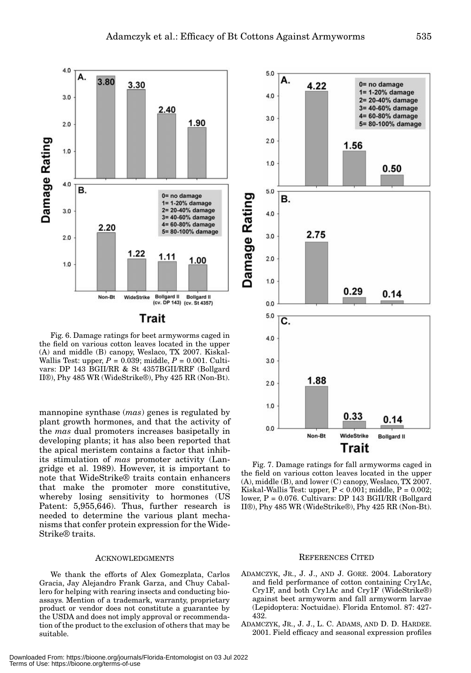

Fig. 6. Damage ratings for beet armyworms caged in the field on various cotton leaves located in the upper (A) and middle (B) canopy, Weslaco, TX 2007. Kiskal-Wallis Test: upper, *P* = 0.039; middle, *P* = 0.001. Cultivars: DP 143 BGII/RR & St 4357BGII/RRF (Bollgard II®), Phy 485 WR (WideStrike®), Phy 425 RR (Non-Bt).

mannopine synthase (*mas*) genes is regulated by plant growth hormones, and that the activity of the *mas* dual promoters increases basipetally in developing plants; it has also been reported that the apical meristem contains a factor that inhibits stimulation of *mas* promoter activity (Langridge et al. 1989). However, it is important to note that WideStrike® traits contain enhancers that make the promoter more constitutive, whereby losing sensitivity to hormones (US Patent: 5,955,646). Thus, further research is needed to determine the various plant mechanisms that confer protein expression for the Wide-Strike® traits.

#### ACKNOWLEDGMENTS

We thank the efforts of Alex Gomezplata, Carlos Gracia, Jay Alejandro Frank Garza, and Chuy Caballero for helping with rearing insects and conducting bioassays. Mention of a trademark, warranty, proprietary product or vendor does not constitute a guarantee by the USDA and does not imply approval or recommendation of the product to the exclusion of others that may be suitable.



Fig. 7. Damage ratings for fall armyworms caged in the field on various cotton leaves located in the upper (A), middle (B), and lower (C) canopy, Weslaco, TX 2007. Kiskal-Wallis Test: upper,  $P < 0.001$ ; middle,  $P = 0.002$ ; lower, P = 0.076. Cultivars: DP 143 BGII/RR (Bollgard II®), Phy 485 WR (WideStrike®), Phy 425 RR (Non-Bt).

#### REFERENCES CITED

- ADAMCZYK, JR., J. J., AND J. GORE. 2004. Laboratory and field performance of cotton containing Cry1Ac, Cry1F, and both Cry1Ac and Cry1F (WideStrike®) against beet armyworm and fall armyworm larvae (Lepidoptera: Noctuidae). Florida Entomol. 87: 427- 432.
- ADAMCZYK, JR., J. J., L. C. ADAMS, AND D. D. HARDEE. 2001. Field efficacy and seasonal expression profiles